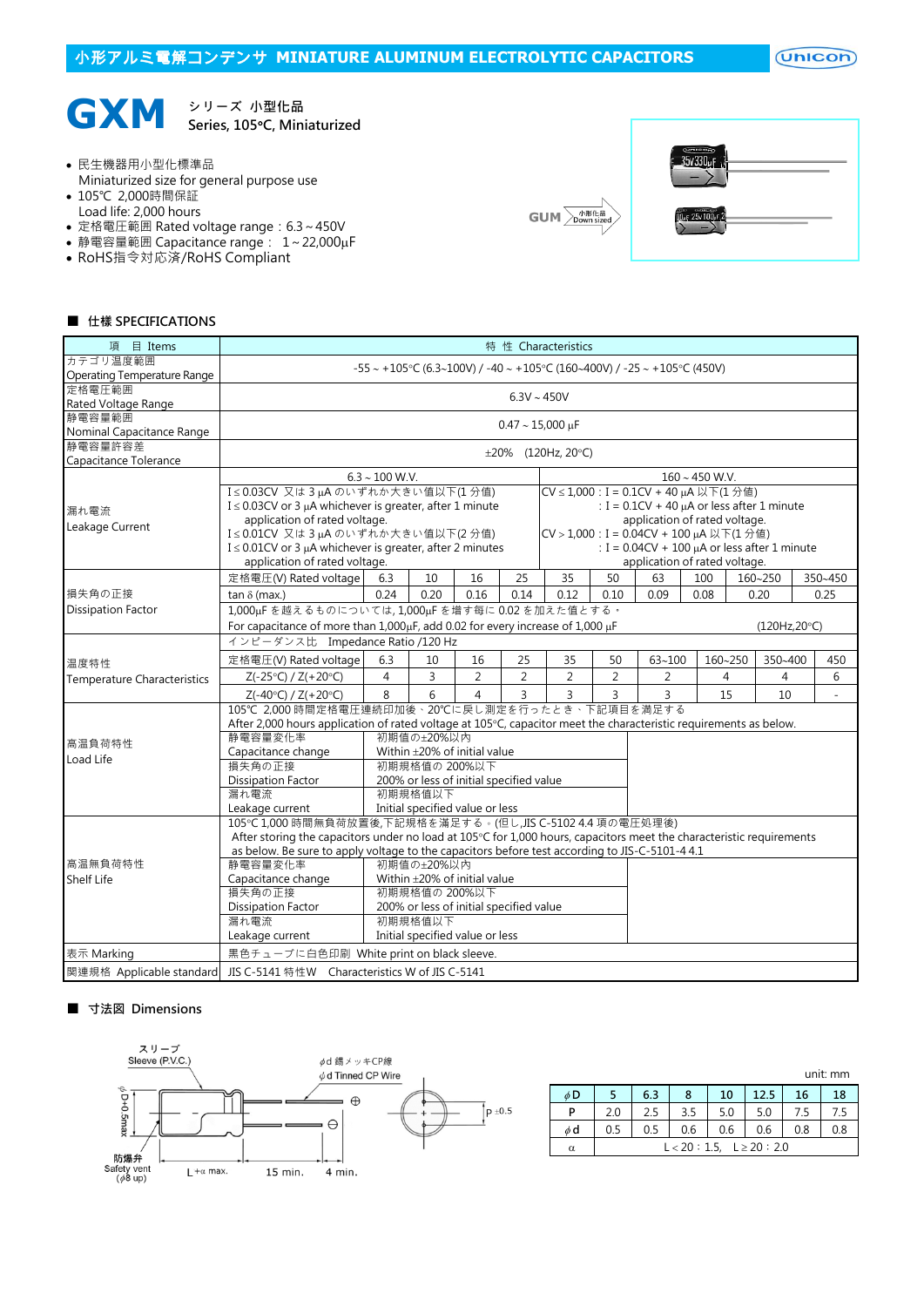$($ Unicon $)$ 



Series, 105°C, Miniaturized

- 民生機器用小型化標準品
- Miniaturized size for general purpose use
- 105℃ 2,000時間保証
- Load life: 2,000 hours
- 定格電圧範囲 Rated voltage range: 6.3~450V • 静電容量範囲 Capacitance range: 1~22,000µF
- RoHS指令対応済/RoHS Compliant
- 





#### ■ 仕樣 SPECIFICATIONS

| 項 目 Items                          | 特 性 Characteristics                                                                                                  |                          |                                         |                |                |                                          |      |                                                     |      |         |         |      |     |  |  |  |
|------------------------------------|----------------------------------------------------------------------------------------------------------------------|--------------------------|-----------------------------------------|----------------|----------------|------------------------------------------|------|-----------------------------------------------------|------|---------|---------|------|-----|--|--|--|
| カテゴリ温度範囲                           | $-55 \sim +105$ °C (6.3~100V) / -40 ~ +105°C (160~400V) / -25 ~ +105°C (450V)                                        |                          |                                         |                |                |                                          |      |                                                     |      |         |         |      |     |  |  |  |
| Operating Temperature Range        |                                                                                                                      | $6.3V \sim 450V$         |                                         |                |                |                                          |      |                                                     |      |         |         |      |     |  |  |  |
| 定格電圧範囲                             |                                                                                                                      |                          |                                         |                |                |                                          |      |                                                     |      |         |         |      |     |  |  |  |
| Rated Voltage Range                |                                                                                                                      |                          |                                         |                |                |                                          |      |                                                     |      |         |         |      |     |  |  |  |
| 静電容量範囲                             | $0.47 \sim 15,000 \,\mu F$                                                                                           |                          |                                         |                |                |                                          |      |                                                     |      |         |         |      |     |  |  |  |
| Nominal Capacitance Range          |                                                                                                                      |                          |                                         |                |                |                                          |      |                                                     |      |         |         |      |     |  |  |  |
| 静電容量許容差                            |                                                                                                                      | $\pm 20\%$ (120Hz, 20°C) |                                         |                |                |                                          |      |                                                     |      |         |         |      |     |  |  |  |
| Capacitance Tolerance              |                                                                                                                      |                          |                                         |                |                |                                          |      |                                                     |      |         |         |      |     |  |  |  |
|                                    | $6.3 \sim 100$ W.V.<br>$160 \sim 450$ W.V.                                                                           |                          |                                         |                |                |                                          |      |                                                     |      |         |         |      |     |  |  |  |
|                                    | I≤0.03CV 又は3µAのいずれか大きい値以下(1分値)<br>CV ≤ 1,000 : I = 0.1CV + 40 µA 以下(1分值)                                             |                          |                                         |                |                |                                          |      |                                                     |      |         |         |      |     |  |  |  |
| 漏れ電流                               | I ≤ 0.03CV or 3 µA whichever is greater, after 1 minute                                                              |                          |                                         |                |                |                                          |      | : $I = 0.1CV + 40 \mu A$ or less after 1 minute     |      |         |         |      |     |  |  |  |
| Leakage Current                    | application of rated voltage.                                                                                        |                          |                                         |                |                |                                          |      | application of rated voltage.                       |      |         |         |      |     |  |  |  |
|                                    | I≤0.01CV 又は3µAのいずれか大きい値以下(2分値)                                                                                       |                          |                                         |                |                | CV > 1,000 : I = 0.04CV + 100 µA 以下(1分値) |      |                                                     |      |         |         |      |     |  |  |  |
|                                    | $I \leq 0.01$ CV or 3 µA whichever is greater, after 2 minutes<br>: $I = 0.04CV + 100 \mu A$ or less after 1 minute  |                          |                                         |                |                |                                          |      |                                                     |      |         |         |      |     |  |  |  |
|                                    | application of rated voltage.                                                                                        |                          |                                         |                |                |                                          |      | application of rated voltage.<br>350~450<br>160~250 |      |         |         |      |     |  |  |  |
|                                    | 定格電圧(V) Rated voltage                                                                                                | 6.3                      | 10                                      | 16             | 25             | 35                                       | 50   | 63                                                  | 100  |         |         |      |     |  |  |  |
| 損失角の正接                             | tan $\delta$ (max.)                                                                                                  | 0.24                     | 0.20                                    | 0.16           | 0.14           | 0.12                                     | 0.10 | 0.09                                                | 0.08 |         | 0.20    | 0.25 |     |  |  |  |
| <b>Dissipation Factor</b>          | 1,000uFを越えるものについては,1,000uFを増す每に0.02を加えた値とする。                                                                         |                          |                                         |                |                |                                          |      |                                                     |      |         |         |      |     |  |  |  |
|                                    | For capacitance of more than 1,000µF, add 0.02 for every increase of 1,000 µF<br>(120Hz,20°C)                        |                          |                                         |                |                |                                          |      |                                                     |      |         |         |      |     |  |  |  |
|                                    | インピーダンス比 Impedance Ratio /120 Hz                                                                                     |                          |                                         |                |                |                                          |      |                                                     |      |         |         |      |     |  |  |  |
| 温度特性                               | 定格電圧(V) Rated voltage                                                                                                | 6.3                      | 10                                      | 16             | 25             | 35                                       | 50   | $63 - 100$                                          |      | 160~250 | 350~400 |      | 450 |  |  |  |
| <b>Temperature Characteristics</b> | $Z(-25°C) / Z(+20°C)$                                                                                                | $\overline{4}$           | 3                                       | $\overline{2}$ | $\overline{2}$ | 2                                        | 2    | 2                                                   |      | 4       | 4       |      | 6   |  |  |  |
|                                    | $Z(-40^{\circ}C) / Z(+20^{\circ}C)$                                                                                  | 8                        | 6                                       | $\overline{4}$ | 3              | 3                                        | 3    | $\overline{3}$                                      |      | 15      | 10      |      | ÷.  |  |  |  |
|                                    | 105℃ 2,000 時間定格電圧連続印加後、20℃に戻し測定を行ったとき、下記項目を満足する                                                                      |                          |                                         |                |                |                                          |      |                                                     |      |         |         |      |     |  |  |  |
|                                    | After 2,000 hours application of rated voltage at 105°C, capacitor meet the characteristic requirements as below.    |                          |                                         |                |                |                                          |      |                                                     |      |         |         |      |     |  |  |  |
| 高温負荷特性                             | 静電容量変化率                                                                                                              |                          | 初期值の±20%以内                              |                |                |                                          |      |                                                     |      |         |         |      |     |  |  |  |
| Load Life                          | Capacitance change                                                                                                   |                          | Within ±20% of initial value            |                |                |                                          |      |                                                     |      |         |         |      |     |  |  |  |
|                                    | 損失角の正接                                                                                                               |                          | 初期規格值の 200%以下                           |                |                |                                          |      |                                                     |      |         |         |      |     |  |  |  |
|                                    | <b>Dissipation Factor</b>                                                                                            |                          | 200% or less of initial specified value |                |                |                                          |      |                                                     |      |         |         |      |     |  |  |  |
|                                    | 漏れ電流                                                                                                                 |                          | 初期規格值以下                                 |                |                |                                          |      |                                                     |      |         |         |      |     |  |  |  |
|                                    | Leakage current                                                                                                      |                          | Initial specified value or less         |                |                |                                          |      |                                                     |      |         |         |      |     |  |  |  |
|                                    | 105℃1,000時間無負荷放置後,下記規格を滿足する。(但し,JIS C-5102 4.4 項の電圧処理後)                                                              |                          |                                         |                |                |                                          |      |                                                     |      |         |         |      |     |  |  |  |
|                                    | After storing the capacitors under no load at 105°C for 1,000 hours, capacitors meet the characteristic requirements |                          |                                         |                |                |                                          |      |                                                     |      |         |         |      |     |  |  |  |
|                                    | as below. Be sure to apply voltage to the capacitors before test according to JIS-C-5101-4 4.1                       |                          |                                         |                |                |                                          |      |                                                     |      |         |         |      |     |  |  |  |
| 高温無負荷特性                            | 静電容量変化率                                                                                                              |                          | 初期值の±20%以内                              |                |                |                                          |      |                                                     |      |         |         |      |     |  |  |  |
| Shelf Life                         | Capacitance change                                                                                                   |                          | Within ±20% of initial value            |                |                |                                          |      |                                                     |      |         |         |      |     |  |  |  |
|                                    | 損失角の正接                                                                                                               |                          | 初期規格值の 200%以下                           |                |                |                                          |      |                                                     |      |         |         |      |     |  |  |  |
|                                    | <b>Dissipation Factor</b>                                                                                            |                          | 200% or less of initial specified value |                |                |                                          |      |                                                     |      |         |         |      |     |  |  |  |
|                                    | 漏れ電流                                                                                                                 |                          | 初期規格值以下                                 |                |                |                                          |      |                                                     |      |         |         |      |     |  |  |  |
|                                    | Leakage current                                                                                                      |                          | Initial specified value or less         |                |                |                                          |      |                                                     |      |         |         |      |     |  |  |  |
| 表示 Marking                         | 黒色チューブに白色印刷 White print on black sleeve.                                                                             |                          |                                         |                |                |                                          |      |                                                     |      |         |         |      |     |  |  |  |
| 関連規格 Applicable standard           | JIS C-5141 特性W Characteristics W of JIS C-5141                                                                       |                          |                                         |                |                |                                          |      |                                                     |      |         |         |      |     |  |  |  |

# ■ 寸法図 Dimensions



|          |                                |     |     |     |      |     | unit: mm |  |  |
|----------|--------------------------------|-----|-----|-----|------|-----|----------|--|--|
| $\phi$ D |                                | 6.3 | 8   | 10  | 12.5 | 16  | 18       |  |  |
| P        | 2.0                            | 2.5 | 3.5 | 5.0 | 5.0  | 7.5 |          |  |  |
| φd       | 0.5                            | 0.5 | 0.6 | 0.6 | 0.6  | 0.8 | 0.8      |  |  |
| α        | $L < 20 : 1.5, L \ge 20 : 2.0$ |     |     |     |      |     |          |  |  |